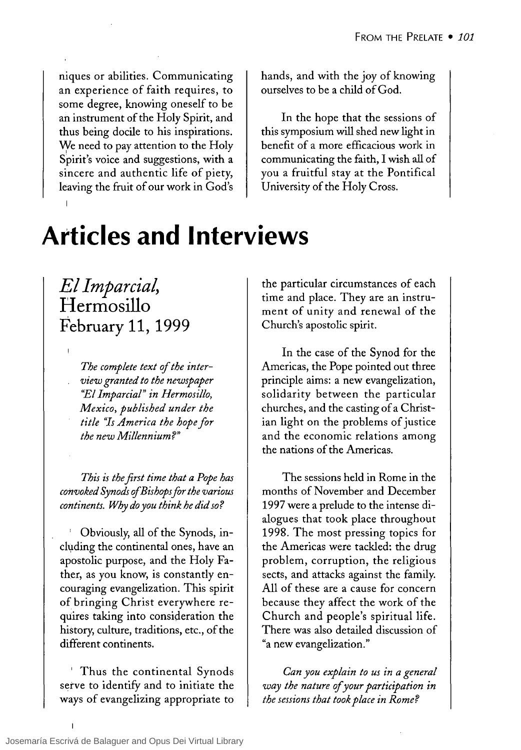niques or abilities. Communicating an experience of faith requires, to some degree, knowing oneself to be an instrument of the Holy Spirit, and thus being docile to his inspirations. We need to pay attention to the Holy Spirit's voice and suggestions, with a sincere and authentic life of piety, leaving the fruit of our work in God's

#### hands, and with the joy of knowing ourselves to be a child of God.

In the hope that the sessions of this symposium will shed new light in benefit of a more efficacious work in communicating the faith, 1 wish all of you a fruitful stay at the Pontifical University of the Holy Cross.

# **Atticles and Interviews**

*El Imparcial,*  **Hermosillo February 11, 1999** 

> The complete text of the inter*view granted to the newspaper "El Imparcial" in Hermosillo, Mexico, published under the title "Is America the hope lor the new Míllennium?"*

*This is the jirst time that a Pope has convoked Synods ofBishops for the various continents. Why do you think he did so?* 

Obviously, all of the Synods, including the continental ones, have an apostolic purpose, and the Holy Father, as you know, is constantly encouraging evangelization. This spirit of bringing Christ everywhere requires taking into consideration the history, culture, traditions, etc., of the different continents.

Thus the continental Synods serve to identify and to initiate the ways of evangelizing appropriate to

the particular circumstances of each time and place. They are an instrument of unity and renewal of the Church's apostolic spirit.

In the case of the Synod for the Americas, the Pope pointed out three principIe aims: a new evangelization, solidarity between the particular churches, and the casting of a Christian light on the problems of justice and the economic relations among the nations of the Americas.

The sessions held in Rome in the months of November and December 1997 were a prelude to the intense dialogues that took place throughout 1998. The most pressing topics for the Americas were tackled: the drug problem, corruption, the religious sects, and attacks against the family. AH of these are a cause for concern because they affect the work of the Church and people's spiritual life. There was also detailed discussion of "a new evangelization."

*Can you explain to us in a general way the nature of your participation in the sessions that took place in Rome?*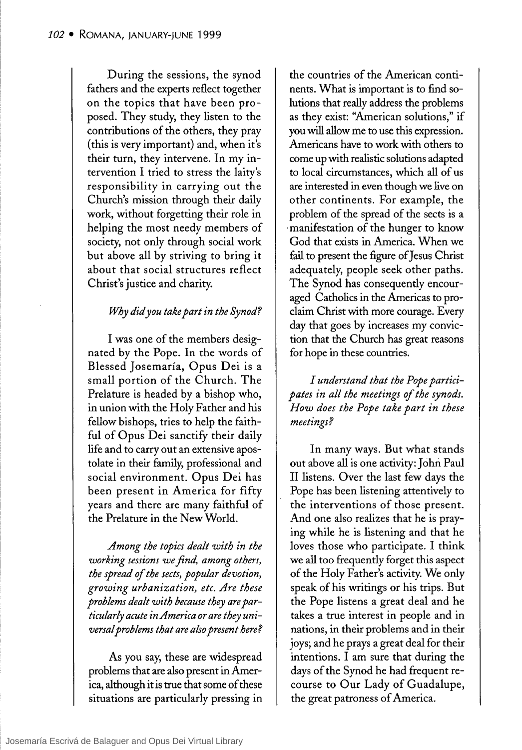During the sessions, the synod fathers and the experts reflect together on the topics that have been proposed. They study, they listen to the contributions of the others, they pray (this is very important) and, when it's their tum, they intervene. In my intervention 1 tried to stress the laity's responsibility in carrying out the Church's mission through their daily work, without forgetting their role in helping the most needy members of society, not only through social work but aboye aH by striving to bring it about that social structures reflect Christ's justice and charity.

#### *Why did you take part in the Synod?*

1 was one of the members designated by the Pope. In the words of Blessed Josemaría, Opus Dei is a small portion of the Church. The Prelature is headed by a bishop who, in union with the Holy Father and his fellow bishops, tries to help the faithful of Opus Dei sanctify their daily life and to carry out an extensive apostolate in their family, professional and social environment. Opus Dei has been present in America for fifty years and there are many faithful of the Prelature in the New World.

*Among the topies dealt with in the working sessions we jind, among others, the spread* of *the seets, popular devotion, growing urbanization, etc. Are these problems dealt with beeause they are partieularly aeute inAmeriea or are they universal problems that are also present here?* 

As you say, these are widespread problems that are also present in America, although it is true that sorne of these situations are particularly pressing in

the countries of the American continents. What is important is to find solutions that really address the problems as they exist: "American solutions," if you will allow me to use this expression. Americans have to work with others to come up with realistic solutions adapted to local circumstances, which all of us are interested in even though we live on other continents. For example, the problem of the spread of the sects is a . manifestation of the hunger to know God that exists in America. When we fail to present the figure of Jesus Christ adequately, people seek other paths. The Synod has consequently encouraged Catholics in the Americas to proclaim Christ with more courage. Every day that goes by increases my conviction that the Church has great reasons for hope in these countries.

*1 understand that the Pope participates in al! the meetings* of *the synods. How does the Pope take part in these meetings?* 

In many ways. But what stands out above all is one activity: John Paul II listens. Over the last few days the Pope has been listening attentively to the interventions of those present. And one also realizes that he is praying while he is listening and that he loves those who participate. I think we all too frequent1y forget this aspect of the Holy Father's activity. We only speak of his writings or his trips. But the Pope listens a great deal and he takes a true interest in people and in nations, in their problems and in their joys; and he prays a great deal for their intentions. 1 am sure that during the days of the Synod he had frequent recourse to Our Lady of Guadalupe, the great patroness of America.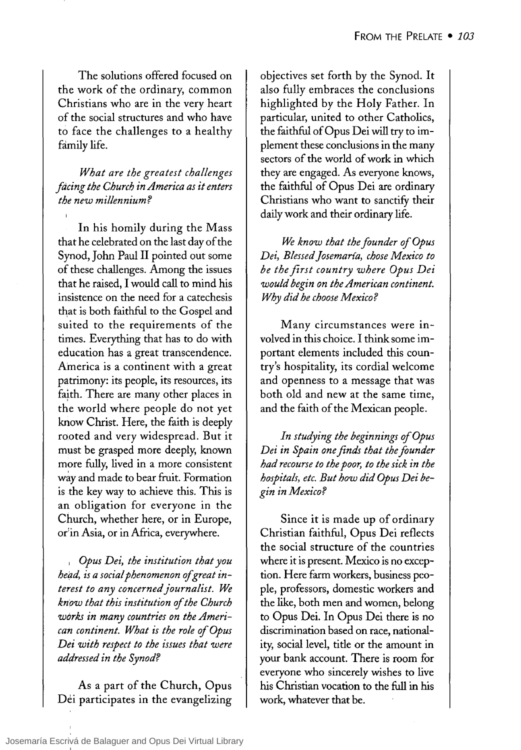The solutions offered focused on the work of the ordinary, common Christians who. are in the very heart of the social structures and who have to face the challenges to a healthy family life.

### *What are the greatest chal/enges facing the Church in America as it enters the new millennium?*

In his homily during the Mass that he celebrated on the last day of the Synod, John Paul II pointed out some of these challenges. Among the issues that he raised. I would call to mind his insistence on the need for a catechesis that is both faithful to the Gospel and suited to the requirements of the times. Everything that has to do with education has a great transcendence. America is a continent with a great patrimony: its people, its resources, its faith. There are many other places in the world where people do not yet know Christ. Here, the faith is deeply rooted and very widespread. But it must be grasped more deeply, known more fully, lived in a more consistent way and made to bear fruit. Formation is the key way to achieve this. This is an obligation for everyone in the Church, whether here, or in Europe, or<sup>i</sup>in Asia, or in Africa, everywhere.

<sup>I</sup>*Opus Dei, lhe institution that you head, is a social phenomenon of great interest to any concernedjournalist. We know that this institution of the Church wórks in many countries on the American continent. What is the role of Opus Dei with respect to the issues that were addressed in the Synod?* 

As a part of the Church, Opus Dei participates in the evangelizing objectives set forth by the Synod. It also fully embraces the conclusions highlighted by the Holy Father. In particular, united to other Catholics, the faithful of Opus Dei will try to implement these conclusions in the many sectors of the world of work in which they are engaged. As everyone knows, the faithful of Opus Dei are ordinary Christians who want to sanctify their daily work and their ordinary life.

*We know that the founder of Opus Dei, Blessed josemaría, chose Mexico to be the jirst country where Opus Dei would begin on the American continent. Why did he choose Mexico?* 

Many circumstances were involved in this choice. I think some important elements included this country's hospitality, its cordial welcome and openness to a message that was both old and new at the same time. and the faith of the Mexican people.

*In studying the beginnings ofOpus Dei in Spain one finds that the founder had recourse to the poor, to the sick in the hospitals, etc. But how did Opus Dei begin in Mexico?* 

Since it is made up of ordinary Christian faithful, Opus Dei reflects the social structure of the countries where it is present. Mexico is no exception. Here farm workers, business people, professors, domestic workers and the like, both men and women, belong to. Opus Dei. In Opus Dei there is no. discrimination based on race, nationality, social level, title or the amount in your bank account. There is room for everyone who sincerely wishes to live his Christian vocation to the full in his work, whatever that be.